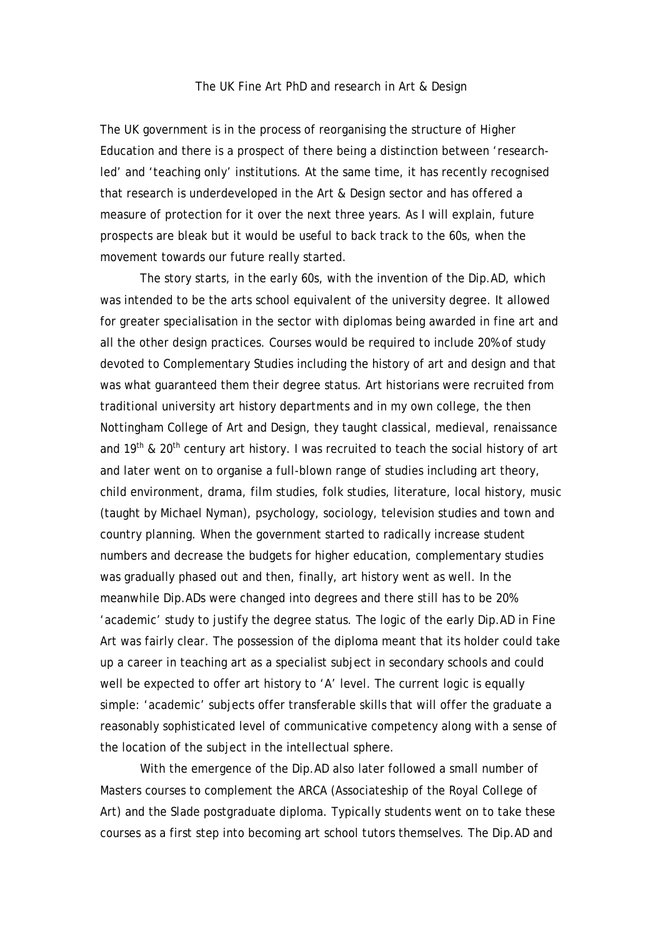## The UK Fine Art PhD and research in Art & Design

The UK government is in the process of reorganising the structure of Higher Education and there is a prospect of there being a distinction between 'researchled' and 'teaching only' institutions. At the same time, it has recently recognised that research is underdeveloped in the Art & Design sector and has offered a measure of protection for it over the next three years. As I will explain, future prospects are bleak but it would be useful to back track to the 60s, when the movement towards our future really started.

 The story starts, in the early 60s, with the invention of the Dip.AD, which was intended to be the arts school equivalent of the university degree. It allowed for greater specialisation in the sector with diplomas being awarded in fine art and all the other design practices. Courses would be required to include 20% of study devoted to Complementary Studies including the history of art and design and that was what guaranteed them their degree status. Art historians were recruited from traditional university art history departments and in my own college, the then Nottingham College of Art and Design, they taught classical, medieval, renaissance and  $19<sup>th</sup>$  &  $20<sup>th</sup>$  century art history. I was recruited to teach the social history of art and later went on to organise a full-blown range of studies including art theory, child environment, drama, film studies, folk studies, literature, local history, music (taught by Michael Nyman), psychology, sociology, television studies and town and country planning. When the government started to radically increase student numbers and decrease the budgets for higher education, complementary studies was gradually phased out and then, finally, art history went as well. In the meanwhile Dip.ADs were changed into degrees and there still has to be 20% 'academic' study to justify the degree status. The logic of the early Dip.AD in Fine Art was fairly clear. The possession of the diploma meant that its holder could take up a career in teaching art as a specialist subject in secondary schools and could well be expected to offer art history to 'A' level. The current logic is equally simple: 'academic' subjects offer transferable skills that will offer the graduate a reasonably sophisticated level of communicative competency along with a sense of the location of the subject in the intellectual sphere.

 With the emergence of the Dip.AD also later followed a small number of Masters courses to complement the ARCA (Associateship of the Royal College of Art) and the Slade postgraduate diploma. Typically students went on to take these courses as a first step into becoming art school tutors themselves. The Dip.AD and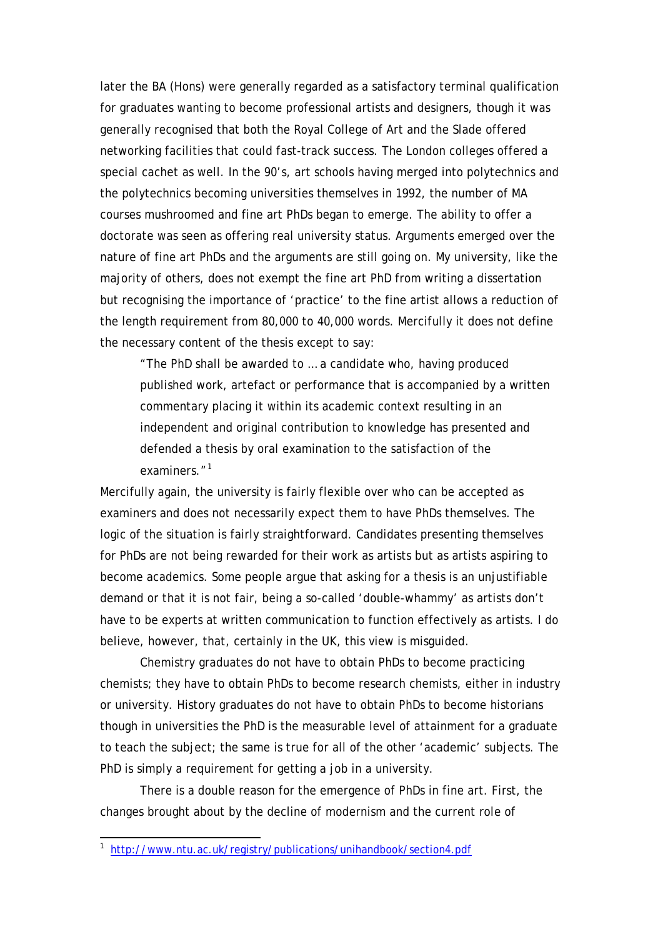later the BA (Hons) were generally regarded as a satisfactory terminal qualification for graduates wanting to become professional artists and designers, though it was generally recognised that both the Royal College of Art and the Slade offered networking facilities that could fast-track success. The London colleges offered a special cachet as well. In the 90's, art schools having merged into polytechnics and the polytechnics becoming universities themselves in 1992, the number of MA courses mushroomed and fine art PhDs began to emerge. The ability to offer a doctorate was seen as offering real university status. Arguments emerged over the nature of fine art PhDs and the arguments are still going on. My university, like the majority of others, does not exempt the fine art PhD from writing a dissertation but recognising the importance of 'practice' to the fine artist allows a reduction of the length requirement from 80,000 to 40,000 words. Mercifully it does not define the necessary content of the thesis except to say:

"The PhD shall be awarded to … a candidate who, having produced published work, artefact or performance that is accompanied by a written commentary placing it within its academic context resulting in an independent and original contribution to knowledge has presented and defended a thesis by oral examination to the satisfaction of the examiners. $11$  $11$ 

Mercifully again, the university is fairly flexible over who can be accepted as examiners and does not necessarily expect them to have PhDs themselves. The logic of the situation is fairly straightforward. Candidates presenting themselves for PhDs are not being rewarded for their work as artists but as artists aspiring to become academics. Some people argue that asking for a thesis is an unjustifiable demand or that it is not fair, being a so-called 'double-whammy' as artists don't have to be experts at written communication to function effectively as artists. I do believe, however, that, certainly in the UK, this view is misguided.

 Chemistry graduates do not have to obtain PhDs to become practicing chemists; they have to obtain PhDs to become research chemists, either in industry or university. History graduates do not have to obtain PhDs to become historians though in universities the PhD is the measurable level of attainment for a graduate to teach the subject; the same is true for all of the other 'academic' subjects. The PhD is simply a requirement for getting a job in a university.

 There is a double reason for the emergence of PhDs in fine art. First, the changes brought about by the decline of modernism and the current role of

-

<span id="page-1-0"></span><sup>1</sup> <http://www.ntu.ac.uk/registry/publications/unihandbook/section4.pdf>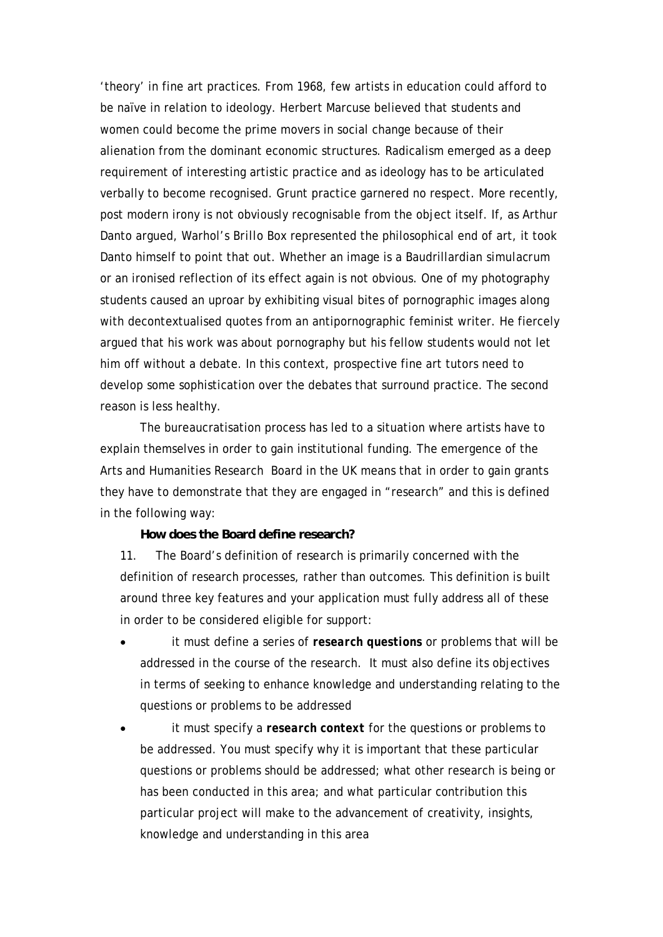'theory' in fine art practices. From 1968, few artists in education could afford to be naïve in relation to ideology. Herbert Marcuse believed that students and women could become the prime movers in social change because of their alienation from the dominant economic structures. Radicalism emerged as a deep requirement of interesting artistic practice and as ideology has to be articulated verbally to become recognised. Grunt practice garnered no respect. More recently, post modern irony is not obviously recognisable from the object itself. If, as Arthur Danto argued, Warhol's *Brillo Box* represented the philosophical end of art, it took Danto himself to point that out. Whether an image is a Baudrillardian *simulacrum* or an ironised reflection of its effect again is not obvious. One of my photography students caused an uproar by exhibiting visual bites of pornographic images along with decontextualised quotes from an antipornographic feminist writer. He fiercely argued that his work was *about* pornography but his fellow students would not let him off without a debate. In this context, prospective fine art tutors need to develop some sophistication over the debates that surround practice. The second reason is less healthy.

 The bureaucratisation process has led to a situation where artists have to explain themselves in order to gain institutional funding. The emergence of the Arts and Humanities Research Board in the UK means that in order to gain grants they have to demonstrate that they are engaged in "research" and this is defined in the following way:

## **How does the Board define research?**

11. The Board's definition of research is primarily concerned with the definition of research processes, rather than outcomes. This definition is built around three key features and your application must fully address all of these in order to be considered eligible for support:

- it must define a series of *research questions* or problems that will be addressed in the course of the research. It must also define its objectives in terms of seeking to enhance knowledge and understanding relating to the questions or problems to be addressed
- it must specify a *research context* for the questions or problems to be addressed. You must specify why it is important that these particular questions or problems should be addressed; what other research is being or has been conducted in this area; and what particular contribution this particular project will make to the advancement of creativity, insights, knowledge and understanding in this area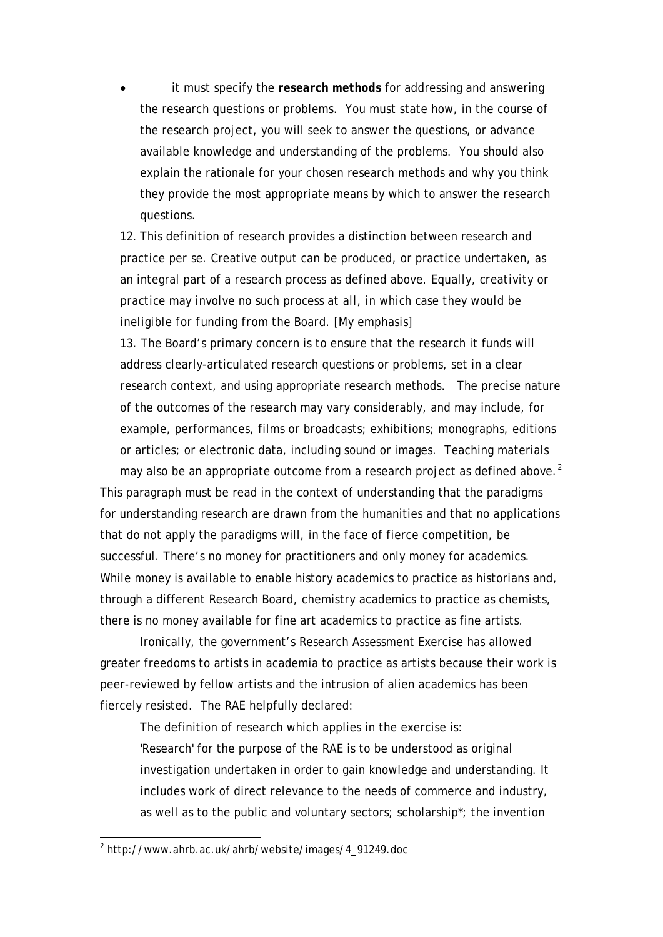• it must specify the *research methods* for addressing and answering the research questions or problems. You must state how, in the course of the research project, you will seek to answer the questions, or advance available knowledge and understanding of the problems. You should also explain the rationale for your chosen research methods and why you think they provide the most appropriate means by which to answer the research questions.

12. This definition of research provides a distinction between research and practice *per se*. Creative output can be produced, or practice undertaken, as an integral part of a research process as defined above. *Equally, creativity or practice may involve no such process at all, in which case they would be ineligible for funding from the Board. [My emphasis]* 

13. The Board's primary concern is to ensure that the research it funds will address clearly-articulated research questions or problems, set in a clear research context, and using appropriate research methods. The precise nature of the outcomes of the research may vary considerably, and may include, for example, performances, films or broadcasts; exhibitions; monographs, editions or articles; or electronic data, including sound or images. Teaching materials

may also be an appropriate outcome from a research project as defined above.<sup>[2](#page-3-0)</sup> This paragraph must be read in the context of understanding that the paradigms for understanding research are drawn from the humanities and that no applications that do not apply the paradigms will, in the face of fierce competition, be successful. There's no money for practitioners and only money for academics. While money is available to enable history academics to practice as historians and, through a different Research Board, chemistry academics to practice as chemists, there is no money available for fine art academics to practice as fine artists.

 Ironically, the government's Research Assessment Exercise has allowed greater freedoms to artists in academia to practice as artists because their work is peer-reviewed by fellow artists and the intrusion of alien academics has been fiercely resisted. The RAE helpfully declared:

The definition of research which applies in the exercise is: 'Research' for the purpose of the RAE is to be understood as original investigation undertaken in order to gain knowledge and understanding. It includes work of direct relevance to the needs of commerce and industry, as well as to the public and voluntary sectors; scholarship\*; *the invention* 

-

<span id="page-3-0"></span><sup>&</sup>lt;sup>2</sup> http://www.ahrb.ac.uk/ahrb/website/images/4\_91249.doc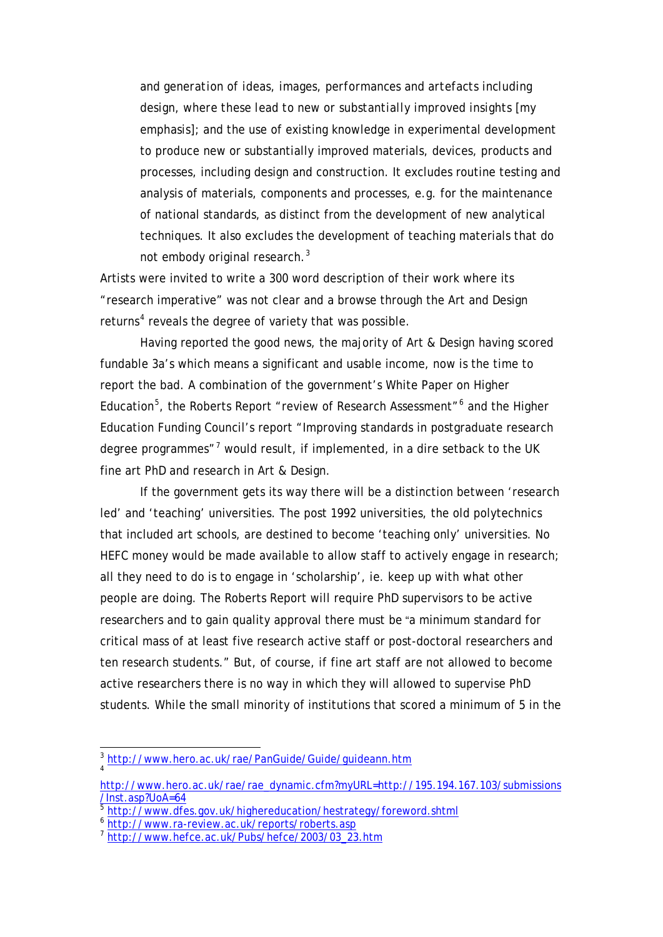*and generation of ideas, images, performances and artefacts including design, where these lead to new or substantially improved insights [my emphasis]*; and the use of existing knowledge in experimental development to produce new or substantially improved materials, devices, products and processes, including design and construction. It excludes routine testing and analysis of materials, components and processes, e.g. for the maintenance of national standards, as distinct from the development of new analytical techniques. It also excludes the development of teaching materials that do not embody original research.[3](#page-4-0)

Artists were invited to write a 300 word description of their work where its "research imperative" was not clear and a browse through the Art and Design returns<sup>[4](#page-4-1)</sup> reveals the degree of variety that was possible.

 Having reported the good news, the majority of Art & Design having scored fundable 3a's which means a significant and usable income, now is the time to report the bad. A combination of the government's White Paper on Higher Education<sup>[5](#page-4-2)</sup>, the Roberts Report "review of Research Assessment"<sup>[6](#page-4-3)</sup> and the Higher Education Funding Council's report "Improving standards in postgraduate research degree programmes"<sup>[7](#page-4-4)</sup> would result, if implemented, in a dire setback to the UK fine art PhD and research in Art & Design.

 If the government gets its way there will be a distinction between 'research led' and 'teaching' universities. The post 1992 universities, the old polytechnics that included art schools, are destined to become 'teaching only' universities. No HEFC money would be made available to allow staff to actively engage in research; all they need to do is to engage in 'scholarship', ie. keep up with what other people are doing. The Roberts Report will require PhD supervisors to be active researchers and to gain quality approval there must be "a minimum standard for critical mass of at least five research active staff or post-doctoral researchers and ten research students." But, of course, if fine art staff are not allowed to become active researchers there is no way in which they will allowed to supervise PhD students. While the small minority of institutions that scored a minimum of 5 in the

-

<span id="page-4-0"></span><sup>3</sup> <http://www.hero.ac.uk/rae/PanGuide/Guide/guideann.htm> 4

<span id="page-4-1"></span>[http://www.hero.ac.uk/rae/rae\\_dynamic.cfm?myURL=http://195.194.167.103/submissions](http://www.hero.ac.uk/rae/rae_dynamic.cfm?myURL=http://195.194.167.103/submissions/Inst.asp?UoA=64) [/Inst.asp?UoA=64](http://www.hero.ac.uk/rae/rae_dynamic.cfm?myURL=http://195.194.167.103/submissions/Inst.asp?UoA=64)

<sup>5</sup> <http://www.dfes.gov.uk/highereducation/hestrategy/foreword.shtml>

<span id="page-4-3"></span><span id="page-4-2"></span><sup>6</sup> <http://www.ra-review.ac.uk/reports/roberts.asp>

<span id="page-4-4"></span><sup>7</sup> [http://www.hefce.ac.uk/Pubs/hefce/2003/03\\_23.htm](http://www.hefce.ac.uk/Pubs/hefce/2003/03_23.htm)